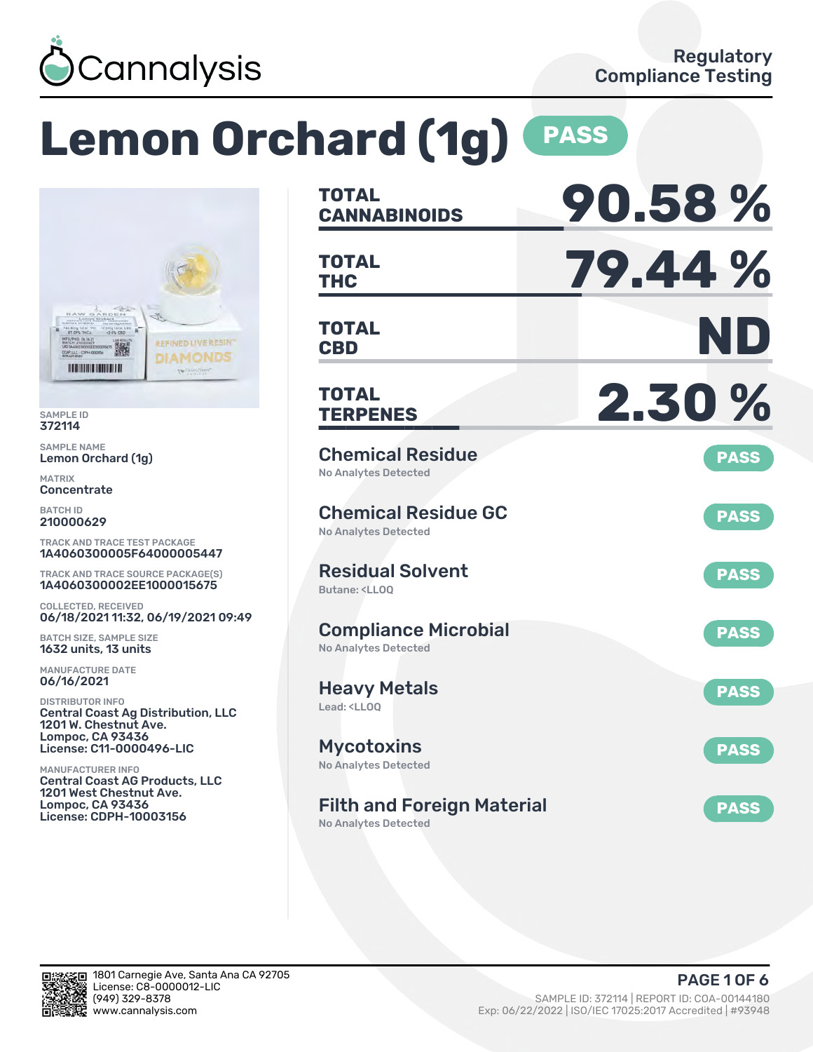

# **Lemon Orchard (1g) PASS**



SAMPLE ID 372114

SAMPLE NAME Lemon Orchard (1g)

MATRIX **Concentrate** 

BATCH ID 210000629

TRACK AND TRACE TEST PACKAGE 1A4060300005F64000005447

TRACK AND TRACE SOURCE PACKAGE(S) 1A4060300002EE1000015675

COLLECTED, RECEIVED 06/18/2021 11:32, 06/19/2021 09:49

BATCH SIZE, SAMPLE SIZE 1632 units, 13 units

MANUFACTURE DATE 06/16/2021

DISTRIBUTOR INFO Central Coast Ag Distribution, LLC 1201 W. Chestnut Ave. Lompoc, CA 93436 License: C11-0000496-LIC

MANUFACTURER INFO Central Coast AG Products, LLC 1201 West Chestnut Ave. Lompoc, CA 93436 License: CDPH-10003156

| <b>TOTAL</b><br><b>CANNABINOIDS</b>                                          | 90.58%      |
|------------------------------------------------------------------------------|-------------|
| <b>TOTAL</b><br><b>THC</b>                                                   | 79.44%      |
| TOTAL<br><b>CBD</b>                                                          | ND          |
| <b>TOTAL</b><br><b>TERPENES</b>                                              | 2.30%       |
| <b>Chemical Residue</b><br><b>No Analytes Detected</b>                       | <b>PASS</b> |
| <b>Chemical Residue GC</b><br><b>No Analytes Detected</b>                    | <b>PASS</b> |
| <b>Residual Solvent</b><br>Butane: <ll00< td=""><td><b>PASS</b></td></ll00<> | <b>PASS</b> |
| <b>Compliance Microbial</b><br><b>No Analytes Detected</b>                   | <b>PASS</b> |
| <b>Heavy Metals</b><br>Lead: <ll00< td=""><td><b>PASS</b></td></ll00<>       | <b>PASS</b> |
| <b>Mycotoxins</b><br>No Analytes Detected                                    | <b>PASS</b> |
| <b>Filth and Foreign Material</b><br>No Analytes Detected                    | <b>PASS</b> |

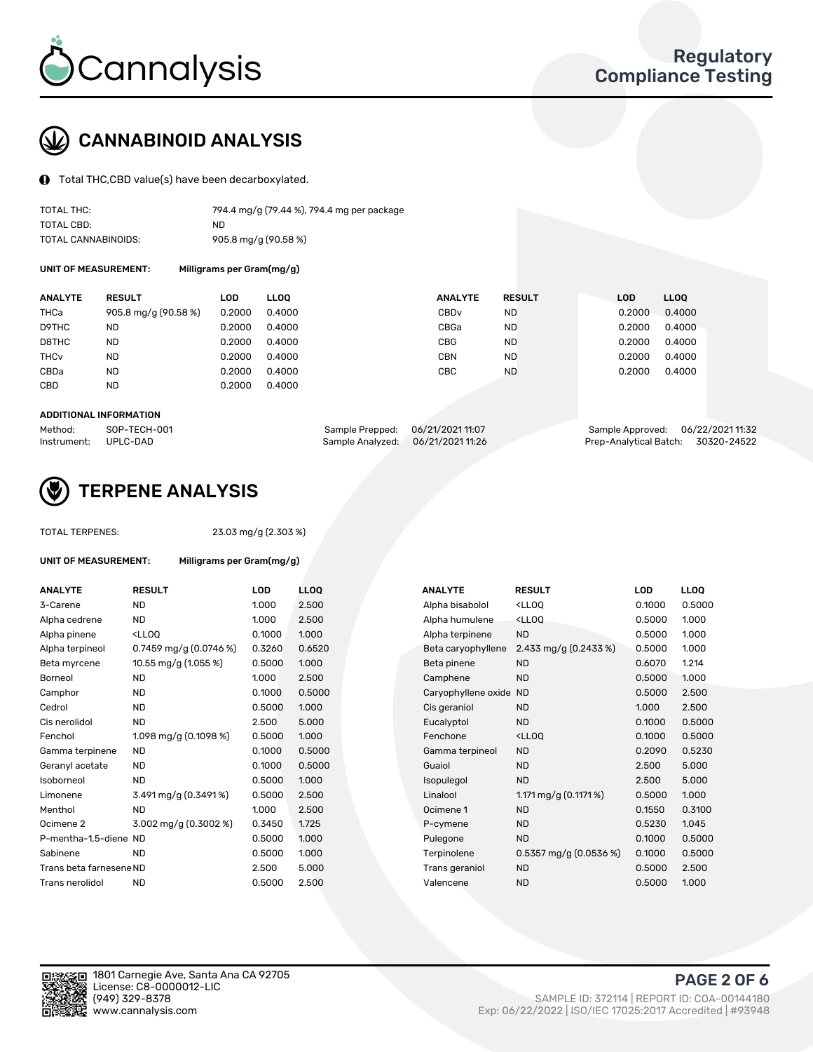

## CANNABINOID ANALYSIS

Total THC,CBD value(s) have been decarboxylated.

| TOTAL THC:          | 794.4 mg/g (79.44 %), 794.4 mg per package |
|---------------------|--------------------------------------------|
| TOTAL CBD:          | ND.                                        |
| TOTAL CANNABINOIDS: | 905.8 mg/g (90.58 %)                       |

UNIT OF MEASUREMENT: Milligrams per Gram(mg/g)

| <b>ANALYTE</b>         | <b>RESULT</b>        | LOD    | <b>LLOO</b> | <b>ANALYTE</b>   | <b>RESULT</b> | <b>LOD</b> | LL <sub>00</sub> |
|------------------------|----------------------|--------|-------------|------------------|---------------|------------|------------------|
| THCa                   | 905.8 mg/g (90.58 %) | 0.2000 | 0.4000      | CBD <sub>v</sub> | <b>ND</b>     | 0.2000     | 0.4000           |
| D9THC                  | <b>ND</b>            | 0.2000 | 0.4000      | CBGa             | <b>ND</b>     | 0.2000     | 0.4000           |
| D8THC                  | <b>ND</b>            | 0.2000 | 0.4000      | CBG              | <b>ND</b>     | 0.2000     | 0.4000           |
| <b>THC<sub>v</sub></b> | <b>ND</b>            | 0.2000 | 0.4000      | CBN              | <b>ND</b>     | 0.2000     | 0.4000           |
| CBDa                   | <b>ND</b>            | 0.2000 | 0.4000      | CBC              | <b>ND</b>     | 0.2000     | 0.4000           |
| CBD                    | <b>ND</b>            | 0.2000 | 0.4000      |                  |               |            |                  |
|                        |                      |        |             |                  |               |            |                  |

#### ADDITIONAL INFORMATION

| Method:              | SOP-TECH-001 | Sample Prepped: 06/21/2021 11:07 |                                   | Sample Approved: 06/22/2021 11:32  |  |
|----------------------|--------------|----------------------------------|-----------------------------------|------------------------------------|--|
| Instrument: UPLC-DAD |              |                                  | Sample Analyzed: 06/21/2021 11:26 | Prep-Analytical Batch: 30320-24522 |  |



## TERPENE ANALYSIS

TOTAL TERPENES: 23.03 mg/g (2.303 %)

| UNIT OF MEASUREMENT:    | Milligrams per Gram(mg/g)                         |            |                  |
|-------------------------|---------------------------------------------------|------------|------------------|
| <b>ANALYTE</b>          | <b>RESULT</b>                                     | <b>LOD</b> | LLC              |
| 3-Carene                | <b>ND</b>                                         | 1.000      | 2.5 <sub>0</sub> |
| Alpha cedrene           | ND.                                               | 1.000      | 2.5 <sub>0</sub> |
| Alpha pinene            | <lloo< td=""><td>0.1000</td><td>1.0(</td></lloo<> | 0.1000     | 1.0(             |
| Alpha terpineol         | 0.7459 mg/g $(0.0746\%)$                          | 0.3260     | 0.6              |
| Beta myrcene            | 10.55 mg/g (1.055 %)                              | 0.5000     | 1.0(             |
| <b>Borneol</b>          | <b>ND</b>                                         | 1.000      | 2.5 <sub>0</sub> |
| Camphor                 | <b>ND</b>                                         | 0.1000     | 0.5              |
| Cedrol                  | <b>ND</b>                                         | 0.5000     | 1.0(             |
| Cis nerolidol           | <b>ND</b>                                         | 2.500      | 5.0              |
| Fenchol                 | 1.098 mg/g $(0.1098\%)$                           | 0.5000     | 1.0(             |
| Gamma terpinene         | <b>ND</b>                                         | 0.1000     | 0.5              |
| Geranyl acetate         | ND                                                | 0.1000     | 0.5              |
| Isoborneol              | <b>ND</b>                                         | 0.5000     | 1.0(             |
| Limonene                | 3.491 mg/g (0.3491%)                              | 0.5000     | 2.5 <sub>0</sub> |
| Menthol                 | <b>ND</b>                                         | 1.000      | 2.5 <sub>0</sub> |
| Ocimene <sub>2</sub>    | $3.002 \,\mathrm{mq/q}$ (0.3002 %)                | 0.3450     | 1.72             |
| P-mentha-1,5-diene ND   |                                                   | 0.5000     | 1.0(             |
| Sabinene                | <b>ND</b>                                         | 0.5000     | 1.0(             |
| Trans beta farnesene ND |                                                   | 2.500      | 5.0              |
| Trans nerolidol         | <b>ND</b>                                         | 0.5000     | 2.5 <sub>0</sub> |
|                         |                                                   |            |                  |

| ANALYTE                 | <b>RESULT</b>                                                                                                        | LOD    | LLOQ   | <b>ANALYTE</b>      | <b>RESULT</b>                                 | LOD    |  |
|-------------------------|----------------------------------------------------------------------------------------------------------------------|--------|--------|---------------------|-----------------------------------------------|--------|--|
| 3-Carene                | <b>ND</b>                                                                                                            | 1.000  | 2.500  | Alpha bisabolol     | <lloq< td=""><td>0.1000</td><td></td></lloq<> | 0.1000 |  |
| Alpha cedrene           | <b>ND</b>                                                                                                            | 1.000  | 2.500  | Alpha humulene      | <lloq< td=""><td>0.5000</td><td></td></lloq<> | 0.5000 |  |
| Alpha pinene            | <lloq< td=""><td>0.1000</td><td>1.000</td><td>Alpha terpinene</td><td><b>ND</b></td><td>0.5000</td><td></td></lloq<> | 0.1000 | 1.000  | Alpha terpinene     | <b>ND</b>                                     | 0.5000 |  |
| Alpha terpineol         | 0.7459 mg/g $(0.0746\%)$                                                                                             | 0.3260 | 0.6520 | Beta caryophyllene  | 2.433 mg/g $(0.2433\%)$                       | 0.5000 |  |
| Beta myrcene            | 10.55 mg/g (1.055 %)                                                                                                 | 0.5000 | 1.000  | Beta pinene         | <b>ND</b>                                     | 0.6070 |  |
| Borneol                 | <b>ND</b>                                                                                                            | 1.000  | 2.500  | Camphene            | <b>ND</b>                                     | 0.5000 |  |
| Camphor                 | ND                                                                                                                   | 0.1000 | 0.5000 | Caryophyllene oxide | ND.                                           | 0.5000 |  |
| Cedrol                  | <b>ND</b>                                                                                                            | 0.5000 | 1.000  | Cis geraniol        | <b>ND</b>                                     | 1.000  |  |
| Cis nerolidol           | <b>ND</b>                                                                                                            | 2.500  | 5.000  | Eucalyptol          | <b>ND</b>                                     | 0.1000 |  |
| Fenchol                 | 1.098 mg/g (0.1098 %)                                                                                                | 0.5000 | 1.000  | Fenchone            | <lloq< td=""><td>0.1000</td><td></td></lloq<> | 0.1000 |  |
| Gamma terpinene         | <b>ND</b>                                                                                                            | 0.1000 | 0.5000 | Gamma terpineol     | <b>ND</b>                                     | 0.2090 |  |
| Geranyl acetate         | ND                                                                                                                   | 0.1000 | 0.5000 | Guaiol              | <b>ND</b>                                     | 2.500  |  |
| Isoborneol              | <b>ND</b>                                                                                                            | 0.5000 | 1.000  | Isopulegol          | <b>ND</b>                                     | 2.500  |  |
| Limonene                | $3.491 \,\mathrm{mg/g}$ (0.3491%)                                                                                    | 0.5000 | 2.500  | Linalool            | 1.171 mg/g $(0.1171\%)$                       | 0.5000 |  |
| Menthol                 | <b>ND</b>                                                                                                            | 1.000  | 2.500  | Ocimene 1           | <b>ND</b>                                     | 0.1550 |  |
| Ocimene 2               | 3.002 mg/g (0.3002 %)                                                                                                | 0.3450 | 1.725  | P-cymene            | <b>ND</b>                                     | 0.5230 |  |
| P-mentha-1,5-diene ND   |                                                                                                                      | 0.5000 | 1.000  | Pulegone            | <b>ND</b>                                     | 0.1000 |  |
| Sabinene                | <b>ND</b>                                                                                                            | 0.5000 | 1.000  | Terpinolene         | $0.5357$ mg/g $(0.0536\%)$                    | 0.1000 |  |
| Trans beta farnesene ND |                                                                                                                      | 2.500  | 5.000  | Trans geraniol      | <b>ND</b>                                     | 0.5000 |  |
| Trans nerolidol         | <b>ND</b>                                                                                                            | 0.5000 | 2.500  | Valencene           | <b>ND</b>                                     | 0.5000 |  |
|                         |                                                                                                                      |        |        |                     |                                               |        |  |



PAGE 2 OF 6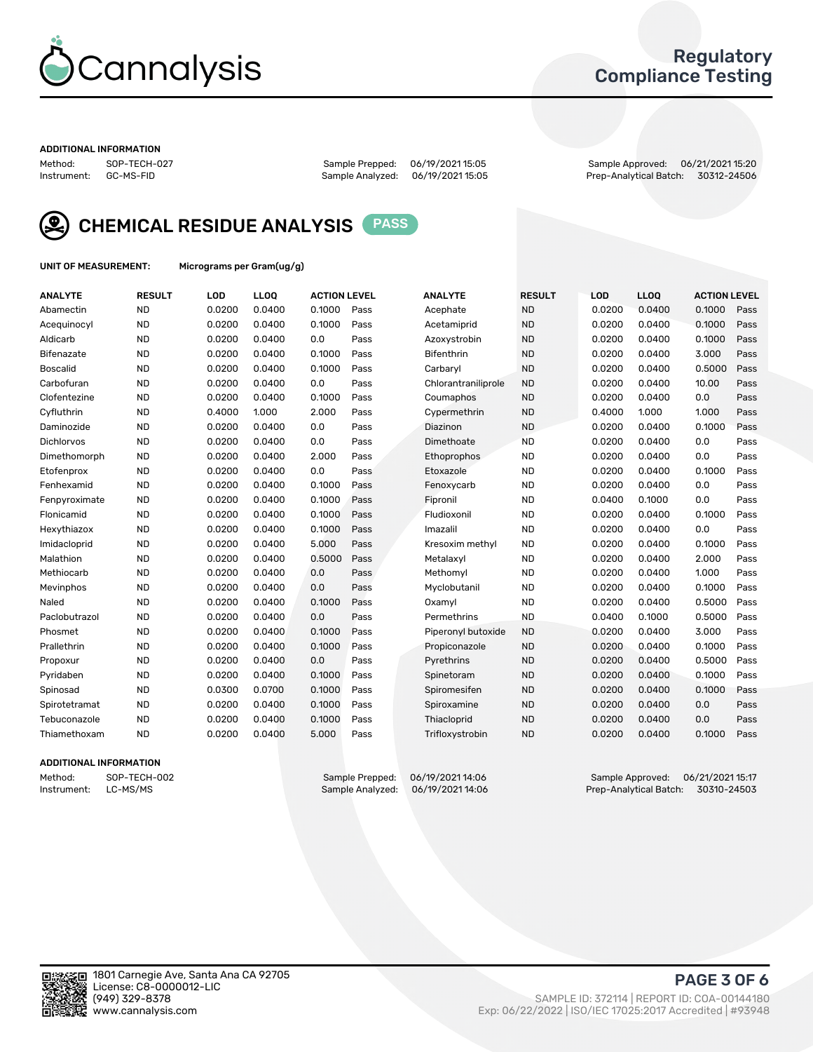

## Regulatory Compliance Testing

#### ADDITIONAL INFORMATION

Method: SOP-TECH-027 Sample Prepped: 06/19/2021 15:05 Sample Approved: 06/21/2021 15:20 Prep-Analytical Batch: 30312-24506



CHEMICAL RESIDUE ANALYSIS PASS

UNIT OF MEASUREMENT: Micrograms per Gram(ug/g)

| <b>ANALYTE</b>    | <b>RESULT</b> | LOD    | LLOQ   | <b>ACTION LEVEL</b> |      | <b>ANALYTE</b>      | <b>RESULT</b> | LOD    | <b>LLOQ</b> | <b>ACTION LEVEL</b> |      |
|-------------------|---------------|--------|--------|---------------------|------|---------------------|---------------|--------|-------------|---------------------|------|
| Abamectin         | <b>ND</b>     | 0.0200 | 0.0400 | 0.1000              | Pass | Acephate            | <b>ND</b>     | 0.0200 | 0.0400      | 0.1000              | Pass |
| Acequinocyl       | <b>ND</b>     | 0.0200 | 0.0400 | 0.1000              | Pass | Acetamiprid         | <b>ND</b>     | 0.0200 | 0.0400      | 0.1000              | Pass |
| Aldicarb          | <b>ND</b>     | 0.0200 | 0.0400 | 0.0                 | Pass | Azoxystrobin        | <b>ND</b>     | 0.0200 | 0.0400      | 0.1000              | Pass |
| Bifenazate        | <b>ND</b>     | 0.0200 | 0.0400 | 0.1000              | Pass | <b>Bifenthrin</b>   | <b>ND</b>     | 0.0200 | 0.0400      | 3.000               | Pass |
| <b>Boscalid</b>   | <b>ND</b>     | 0.0200 | 0.0400 | 0.1000              | Pass | Carbarvl            | <b>ND</b>     | 0.0200 | 0.0400      | 0.5000              | Pass |
| Carbofuran        | <b>ND</b>     | 0.0200 | 0.0400 | 0.0                 | Pass | Chlorantraniliprole | <b>ND</b>     | 0.0200 | 0.0400      | 10.00               | Pass |
| Clofentezine      | <b>ND</b>     | 0.0200 | 0.0400 | 0.1000              | Pass | Coumaphos           | <b>ND</b>     | 0.0200 | 0.0400      | 0.0                 | Pass |
| Cyfluthrin        | <b>ND</b>     | 0.4000 | 1.000  | 2.000               | Pass | Cypermethrin        | <b>ND</b>     | 0.4000 | 1.000       | 1.000               | Pass |
| Daminozide        | <b>ND</b>     | 0.0200 | 0.0400 | 0.0                 | Pass | Diazinon            | <b>ND</b>     | 0.0200 | 0.0400      | 0.1000              | Pass |
| <b>Dichlorvos</b> | <b>ND</b>     | 0.0200 | 0.0400 | 0.0                 | Pass | Dimethoate          | <b>ND</b>     | 0.0200 | 0.0400      | 0.0                 | Pass |
| Dimethomorph      | <b>ND</b>     | 0.0200 | 0.0400 | 2.000               | Pass | <b>Ethoprophos</b>  | <b>ND</b>     | 0.0200 | 0.0400      | 0.0                 | Pass |
| Etofenprox        | <b>ND</b>     | 0.0200 | 0.0400 | 0.0                 | Pass | Etoxazole           | <b>ND</b>     | 0.0200 | 0.0400      | 0.1000              | Pass |
| Fenhexamid        | <b>ND</b>     | 0.0200 | 0.0400 | 0.1000              | Pass | Fenoxycarb          | <b>ND</b>     | 0.0200 | 0.0400      | 0.0                 | Pass |
| Fenpyroximate     | <b>ND</b>     | 0.0200 | 0.0400 | 0.1000              | Pass | Fipronil            | <b>ND</b>     | 0.0400 | 0.1000      | 0.0                 | Pass |
| Flonicamid        | <b>ND</b>     | 0.0200 | 0.0400 | 0.1000              | Pass | Fludioxonil         | <b>ND</b>     | 0.0200 | 0.0400      | 0.1000              | Pass |
| Hexythiazox       | <b>ND</b>     | 0.0200 | 0.0400 | 0.1000              | Pass | Imazalil            | <b>ND</b>     | 0.0200 | 0.0400      | 0.0                 | Pass |
| Imidacloprid      | <b>ND</b>     | 0.0200 | 0.0400 | 5.000               | Pass | Kresoxim methyl     | <b>ND</b>     | 0.0200 | 0.0400      | 0.1000              | Pass |
| Malathion         | <b>ND</b>     | 0.0200 | 0.0400 | 0.5000              | Pass | Metalaxyl           | <b>ND</b>     | 0.0200 | 0.0400      | 2.000               | Pass |
| Methiocarb        | <b>ND</b>     | 0.0200 | 0.0400 | 0.0                 | Pass | Methomyl            | <b>ND</b>     | 0.0200 | 0.0400      | 1.000               | Pass |
| Mevinphos         | <b>ND</b>     | 0.0200 | 0.0400 | 0.0                 | Pass | Myclobutanil        | <b>ND</b>     | 0.0200 | 0.0400      | 0.1000              | Pass |
| Naled             | <b>ND</b>     | 0.0200 | 0.0400 | 0.1000              | Pass | Oxamyl              | <b>ND</b>     | 0.0200 | 0.0400      | 0.5000              | Pass |
| Paclobutrazol     | <b>ND</b>     | 0.0200 | 0.0400 | 0.0                 | Pass | Permethrins         | <b>ND</b>     | 0.0400 | 0.1000      | 0.5000              | Pass |
| Phosmet           | <b>ND</b>     | 0.0200 | 0.0400 | 0.1000              | Pass | Piperonyl butoxide  | <b>ND</b>     | 0.0200 | 0.0400      | 3.000               | Pass |
| Prallethrin       | <b>ND</b>     | 0.0200 | 0.0400 | 0.1000              | Pass | Propiconazole       | <b>ND</b>     | 0.0200 | 0.0400      | 0.1000              | Pass |
| Propoxur          | <b>ND</b>     | 0.0200 | 0.0400 | 0.0                 | Pass | Pyrethrins          | <b>ND</b>     | 0.0200 | 0.0400      | 0.5000              | Pass |
| Pyridaben         | <b>ND</b>     | 0.0200 | 0.0400 | 0.1000              | Pass | Spinetoram          | <b>ND</b>     | 0.0200 | 0.0400      | 0.1000              | Pass |
| Spinosad          | <b>ND</b>     | 0.0300 | 0.0700 | 0.1000              | Pass | Spiromesifen        | <b>ND</b>     | 0.0200 | 0.0400      | 0.1000              | Pass |
| Spirotetramat     | <b>ND</b>     | 0.0200 | 0.0400 | 0.1000              | Pass | Spiroxamine         | <b>ND</b>     | 0.0200 | 0.0400      | 0.0                 | Pass |
| Tebuconazole      | <b>ND</b>     | 0.0200 | 0.0400 | 0.1000              | Pass | Thiacloprid         | <b>ND</b>     | 0.0200 | 0.0400      | 0.0                 | Pass |
| Thiamethoxam      | <b>ND</b>     | 0.0200 | 0.0400 | 5.000               | Pass | Trifloxystrobin     | <b>ND</b>     | 0.0200 | 0.0400      | 0.1000              | Pass |

#### ADDITIONAL INFORMATION

Method: SOP-TECH-002 Sample Prepped: 06/19/202114:06 Sample Approved: 06/21/2021 15:17<br>Instrument: LC-MS/MS Sample Analyzed: 06/19/2021 14:06 Prep-Analytical Batch: 30310-24503 Prep-Analytical Batch: 30310-24503

PAGE 3 OF 6

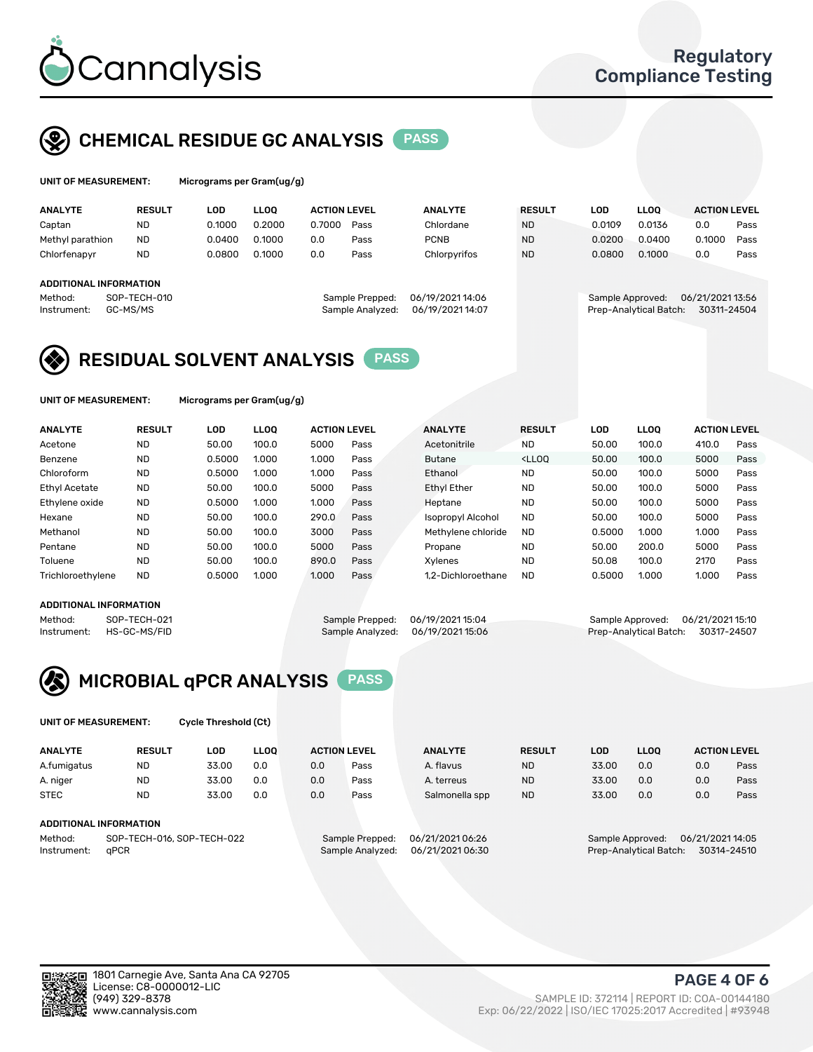

## CHEMICAL RESIDUE GC ANALYSIS PASS

| UNIT OF MEASUREMENT: | Mic |
|----------------------|-----|
|----------------------|-----|

rograms per Gram(ug/g)

| <b>ANALYTE</b>         | <b>RESULT</b>                | LOD    | <b>LLOO</b> | <b>ACTION LEVEL</b> |                 | <b>ANALYTE</b>         | <b>RESULT</b> |  | LOD              | <b>LLOO</b> |  | <b>ACTION LEVEL</b> |      |
|------------------------|------------------------------|--------|-------------|---------------------|-----------------|------------------------|---------------|--|------------------|-------------|--|---------------------|------|
| Captan                 | <b>ND</b>                    | 0.1000 | 0.2000      | 0.7000              | Pass            | Chlordane              | <b>ND</b>     |  | 0.0109           | 0.0136      |  | 0.0                 | Pass |
| Methyl parathion       | <b>ND</b>                    | 0.0400 | 0.1000      | 0.0                 | Pass            | <b>PCNB</b>            | <b>ND</b>     |  | 0.0200           | 0.0400      |  | 0.1000              | Pass |
| Chlorfenapyr           | <b>ND</b>                    | 0.0800 | 0.1000      | 0.0                 | Pass            | Chlorpyrifos           | <b>ND</b>     |  | 0.0800           | 0.1000      |  | 0.0                 | Pass |
|                        |                              |        |             |                     |                 |                        |               |  |                  |             |  |                     |      |
| ADDITIONAL INFORMATION |                              |        |             |                     |                 |                        |               |  |                  |             |  |                     |      |
| Method:                | SOP-TECH-010                 |        |             |                     | Sample Prepped: | 06/19/2021 14:06       |               |  | Sample Approved: |             |  | 06/21/2021 13:56    |      |
| Instrument:            | GC-MS/MS<br>Sample Analyzed: |        |             | 06/19/2021 14:07    |                 | Prep-Analytical Batch: |               |  | 30311-24504      |             |  |                     |      |

## RESIDUAL SOLVENT ANALYSIS PASS

UNIT OF MEASUREMENT: Micrograms per Gram(ug/g)

| <b>ANALYTE</b>       | <b>RESULT</b> | LOD    | <b>LLOO</b> | <b>ACTION LEVEL</b> |      | <b>ANALYTE</b>     | <b>RESULT</b>                                                               | LOD    | LLOO  | <b>ACTION LEVEL</b> |      |
|----------------------|---------------|--------|-------------|---------------------|------|--------------------|-----------------------------------------------------------------------------|--------|-------|---------------------|------|
| Acetone              | <b>ND</b>     | 50.00  | 100.0       | 5000                | Pass | Acetonitrile       | <b>ND</b>                                                                   | 50.00  | 100.0 | 410.0               | Pass |
| Benzene              | <b>ND</b>     | 0.5000 | 1.000       | 1.000               | Pass | <b>Butane</b>      | <lloo< td=""><td>50.00</td><td>100.0</td><td>5000</td><td>Pass</td></lloo<> | 50.00  | 100.0 | 5000                | Pass |
| Chloroform           | <b>ND</b>     | 0.5000 | 1.000       | 1.000               | Pass | Ethanol            | <b>ND</b>                                                                   | 50.00  | 100.0 | 5000                | Pass |
| <b>Ethyl Acetate</b> | <b>ND</b>     | 50.00  | 100.0       | 5000                | Pass | <b>Ethyl Ether</b> | <b>ND</b>                                                                   | 50.00  | 100.0 | 5000                | Pass |
| Ethylene oxide       | <b>ND</b>     | 0.5000 | 1.000       | 1.000               | Pass | Heptane            | <b>ND</b>                                                                   | 50.00  | 100.0 | 5000                | Pass |
| Hexane               | <b>ND</b>     | 50.00  | 100.0       | 290.0               | Pass | Isopropyl Alcohol  | <b>ND</b>                                                                   | 50.00  | 100.0 | 5000                | Pass |
| Methanol             | <b>ND</b>     | 50.00  | 100.0       | 3000                | Pass | Methylene chloride | <b>ND</b>                                                                   | 0.5000 | 1.000 | 1.000               | Pass |
| Pentane              | <b>ND</b>     | 50.00  | 100.0       | 5000                | Pass | Propane            | <b>ND</b>                                                                   | 50.00  | 200.0 | 5000                | Pass |
| Toluene              | <b>ND</b>     | 50.00  | 100.0       | 890.0               | Pass | Xvlenes            | <b>ND</b>                                                                   | 50.08  | 100.0 | 2170                | Pass |
| Trichloroethylene    | <b>ND</b>     | 0.5000 | 1.000       | 1.000               | Pass | 1.2-Dichloroethane | <b>ND</b>                                                                   | 0.5000 | 1.000 | 1.000               | Pass |

#### ADDITIONAL INFORMATION

Method: SOP-TECH-021 Sample Prepped: 06/19/2021 15:04 Sample Approved: 06/21/2021 15:10<br>Instrument: HS-GC-MS/FID Sample Analyzed: 06/19/2021 15:06 Prep-Analytical Batch: 30317-24507 Prep-Analytical Batch: 30317-24507



UNIT OF MEASUREMENT: Cycle Threshold (Ct)

| <b>ANALYTE</b> | <b>RESULT</b>              | LOD   | <b>LLOO</b> | <b>ACTION LEVEL</b> |                 | <b>ANALYTE</b>   | <b>RESULT</b> | LOD   | <b>LLOO</b>      |                  | <b>ACTION LEVEL</b> |
|----------------|----------------------------|-------|-------------|---------------------|-----------------|------------------|---------------|-------|------------------|------------------|---------------------|
| A.fumigatus    | <b>ND</b>                  | 33.00 | 0.0         | 0.0                 | Pass            | A. flavus        | <b>ND</b>     | 33.00 | 0.0              | 0.0              | Pass                |
| A. niger       | <b>ND</b>                  | 33.00 | 0.0         | 0.0                 | Pass            | A. terreus       | <b>ND</b>     | 33.00 | 0.0              | 0.0              | Pass                |
| <b>STEC</b>    | <b>ND</b>                  | 33.00 | 0.0         | 0.0                 | Pass            | Salmonella spp   | <b>ND</b>     | 33.00 | 0.0              | 0.0              | Pass                |
|                | ADDITIONAL INFORMATION     |       |             |                     |                 |                  |               |       |                  |                  |                     |
| Method:        | SOP-TECH-016, SOP-TECH-022 |       |             |                     | Sample Prepped: | 06/21/2021 06:26 |               |       | Sample Approved: | 06/21/2021 14:05 |                     |

Instrument: qPCR Sample Analyzed: 06/21/2021 06:30 Prep-Analytical Batch: 30314-24510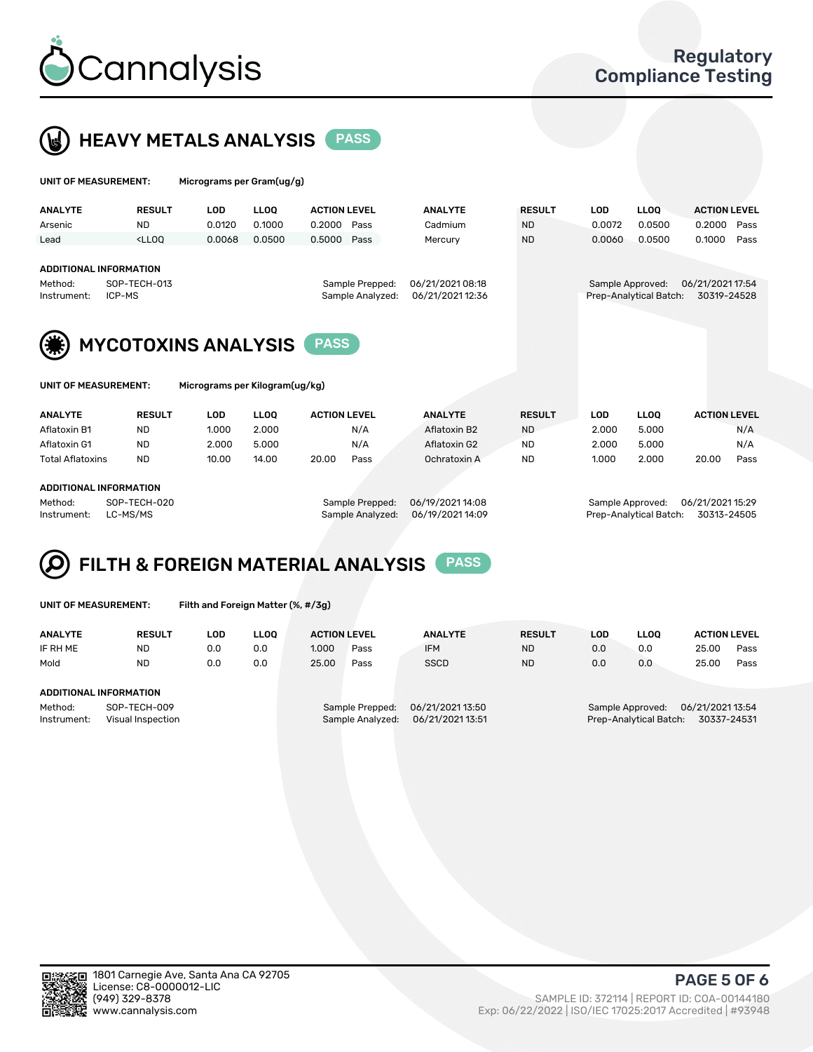



| UNIT OF MEASUREMENT:                                              |               | Micrograms per Gram(ug/g)      |             |                                     |      |                                      |               |            |                                            |                                 |      |
|-------------------------------------------------------------------|---------------|--------------------------------|-------------|-------------------------------------|------|--------------------------------------|---------------|------------|--------------------------------------------|---------------------------------|------|
| <b>ANALYTE</b>                                                    | <b>RESULT</b> | <b>LOD</b>                     | <b>LLOO</b> | <b>ACTION LEVEL</b>                 |      | <b>ANALYTE</b>                       | <b>RESULT</b> | <b>LOD</b> | <b>LLOQ</b>                                | <b>ACTION LEVEL</b>             |      |
| Arsenic                                                           | ND.           | 0.0120                         | 0.1000      | 0.2000                              | Pass | Cadmium                              | <b>ND</b>     | 0.0072     | 0.0500                                     | 0.2000                          | Pass |
| Lead                                                              | $<$ LLOO      | 0.0068                         | 0.0500      | 0.5000                              | Pass | Mercury                              | <b>ND</b>     | 0.0060     | 0.0500                                     | 0.1000                          | Pass |
| <b>ADDITIONAL INFORMATION</b><br>Method:<br>ICP-MS<br>Instrument: | SOP-TECH-013  |                                |             | Sample Prepped:<br>Sample Analyzed: |      | 06/21/2021 08:18<br>06/21/2021 12:36 |               |            | Sample Approved:<br>Prep-Analytical Batch: | 06/21/2021 17:54<br>30319-24528 |      |
|                                                                   |               | <b>MYCOTOXINS ANALYSIS</b>     |             | <b>PASS</b>                         |      |                                      |               |            |                                            |                                 |      |
| UNIT OF MEASUREMENT:                                              |               | Micrograms per Kilogram(ug/kg) |             |                                     |      |                                      |               |            |                                            |                                 |      |
| <b>ANALYTE</b>                                                    | <b>RESULT</b> | <b>LOD</b>                     | <b>LLOO</b> | <b>ACTION LEVEL</b>                 |      | <b>ANALYTE</b>                       | <b>RESULT</b> | <b>LOD</b> | <b>LLOQ</b>                                | <b>ACTION LEVEL</b>             |      |
| Aflatoxin B1                                                      | <b>ND</b>     | 1.000                          | 2.000       |                                     | N/A  | Aflatoxin B2                         | <b>ND</b>     | 2.000      | 5.000                                      |                                 | N/A  |
| Aflatoxin G1                                                      | ND.           | 2.000                          | 5.000       |                                     | N/A  | Aflatoxin G2                         | <b>ND</b>     | 2.000      | 5.000                                      |                                 | N/A  |
| <b>Total Aflatoxins</b>                                           | <b>ND</b>     | 10.00                          | 14.00       | 20.00                               | Pass | Ochratoxin A                         | <b>ND</b>     | 1.000      | 2.000                                      | 20.00                           | Pass |
|                                                                   |               |                                |             |                                     |      |                                      |               |            |                                            |                                 |      |

#### ADDITIONAL INFORMATION

Method: SOP-TECH-020 Sample Prepped: 06/19/2021 14:08 Sample Approved: 06/21/2021 15:29 Instrument: LC-MS/MS Sample Analyzed: 06/19/2021 14:09 Prep-Analytical Batch: 30313-24505

# FILTH & FOREIGN MATERIAL ANALYSIS PASS

UNIT OF MEASUREMENT: Filth and Foreign Matter (%, #/3g)

| <b>ANALYTE</b>                                              | <b>RESULT</b> | LOD | <b>LLOO</b> | <b>ACTION LEVEL</b>                                                         |      | <b>ANALYTE</b> | <b>RESULT</b> | LOD                                                                           | <b>LLOO</b> | <b>ACTION LEVEL</b> |      |
|-------------------------------------------------------------|---------------|-----|-------------|-----------------------------------------------------------------------------|------|----------------|---------------|-------------------------------------------------------------------------------|-------------|---------------------|------|
| IF RH ME                                                    | <b>ND</b>     | 0.0 | 0.0         | 1.000                                                                       | Pass | <b>IFM</b>     | <b>ND</b>     | 0.0                                                                           | 0.0         | 25.00               | Pass |
| Mold                                                        | <b>ND</b>     | 0.0 | 0.0         | 25.00                                                                       | Pass | <b>SSCD</b>    | <b>ND</b>     | 0.0                                                                           | 0.0         | 25.00               | Pass |
| ADDITIONAL INFORMATION                                      |               |     |             |                                                                             |      |                |               |                                                                               |             |                     |      |
| Method:<br>SOP-TECH-009<br>Instrument:<br>Visual Inspection |               |     |             | 06/21/2021 13:50<br>Sample Prepped:<br>06/21/2021 13:51<br>Sample Analyzed: |      |                |               | 06/21/2021 13:54<br>Sample Approved:<br>Prep-Analytical Batch:<br>30337-24531 |             |                     |      |



PAGE 5 OF 6